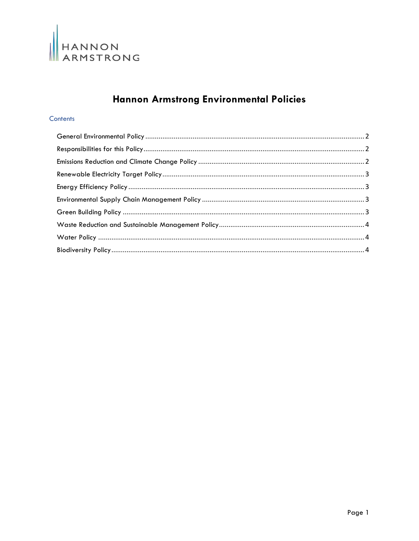

# Hannon Armstrong Environmental Policies

# Contents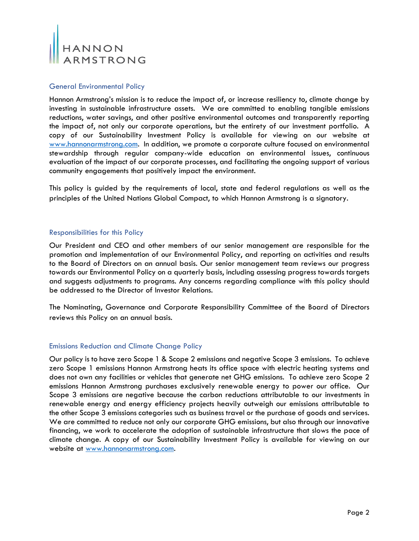

## <span id="page-1-0"></span>General Environmental Policy

Hannon Armstrong's mission is to reduce the impact of, or increase resiliency to, climate change by investing in sustainable infrastructure assets. We are committed to enabling tangible emissions reductions, water savings, and other positive environmental outcomes and transparently reporting the impact of, not only our corporate operations, but the entirety of our investment portfolio. A copy of our Sustainability Investment Policy is available for viewing on our website at [www.hannonarmstrong.com.](http://www.hannonarmstrong.com/) In addition, we promote a corporate culture focused on environmental stewardship through regular company-wide education on environmental issues, continuous evaluation of the impact of our corporate processes, and facilitating the ongoing support of various community engagements that positively impact the environment.

This policy is guided by the requirements of local, state and federal regulations as well as the principles of the United Nations Global Compact, to which Hannon Armstrong is a signatory.

# <span id="page-1-1"></span>Responsibilities for this Policy

Our President and CEO and other members of our senior management are responsible for the promotion and implementation of our Environmental Policy, and reporting on activities and results to the Board of Directors on an annual basis. Our senior management team reviews our progress towards our Environmental Policy on a quarterly basis, including assessing progress towards targets and suggests adjustments to programs. Any concerns regarding compliance with this policy should be addressed to the Director of Investor Relations.

The Nominating, Governance and Corporate Responsibility Committee of the Board of Directors reviews this Policy on an annual basis.

#### <span id="page-1-2"></span>Emissions Reduction and Climate Change Policy

Our policy is to have zero Scope 1 & Scope 2 emissions and negative Scope 3 emissions. To achieve zero Scope 1 emissions Hannon Armstrong heats its office space with electric heating systems and does not own any facilities or vehicles that generate net GHG emissions. To achieve zero Scope 2 emissions Hannon Armstrong purchases exclusively renewable energy to power our office. Our Scope 3 emissions are negative because the carbon reductions attributable to our investments in renewable energy and energy efficiency projects heavily outweigh our emissions attributable to the other Scope 3 emissions categories such as business travel or the purchase of goods and services. We are committed to reduce not only our corporate GHG emissions, but also through our innovative financing, we work to accelerate the adoption of sustainable infrastructure that slows the pace of climate change. A copy of our Sustainability Investment Policy is available for viewing on our website at [www.hannonarmstrong.com.](http://www.hannonarmstrong.com/)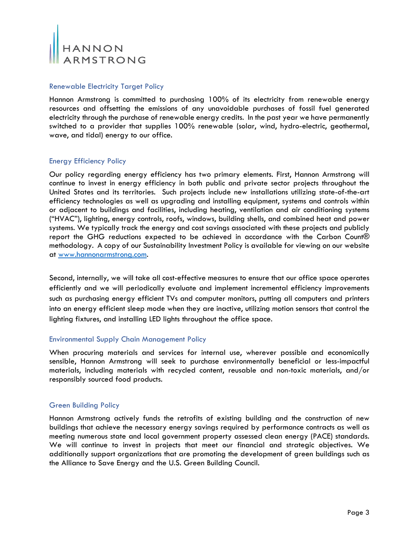

## <span id="page-2-0"></span>Renewable Electricity Target Policy

Hannon Armstrong is committed to purchasing 100% of its electricity from renewable energy resources and offsetting the emissions of any unavoidable purchases of fossil fuel generated electricity through the purchase of renewable energy credits. In the past year we have permanently switched to a provider that supplies 100% renewable (solar, wind, hydro-electric, geothermal, wave, and tidal) energy to our office.

## <span id="page-2-1"></span>Energy Efficiency Policy

Our policy regarding energy efficiency has two primary elements. First, Hannon Armstrong will continue to invest in energy efficiency in both public and private sector projects throughout the United States and its territories. Such projects include new installations utilizing state-of-the-art efficiency technologies as well as upgrading and installing equipment, systems and controls within or adjacent to buildings and facilities, including heating, ventilation and air conditioning systems ("HVAC"), lighting, energy controls, roofs, windows, building shells, and combined heat and power systems. We typically track the energy and cost savings associated with these projects and publicly report the GHG reductions expected to be achieved in accordance with the Carbon Count® methodology. A copy of our Sustainability Investment Policy is available for viewing on our website at [www.hannonarmstrong.com.](http://www.hannonarmstrong.com/)

Second, internally, we will take all cost-effective measures to ensure that our office space operates efficiently and we will periodically evaluate and implement incremental efficiency improvements such as purchasing energy efficient TVs and computer monitors, putting all computers and printers into an energy efficient sleep mode when they are inactive, utilizing motion sensors that control the lighting fixtures, and installing LED lights throughout the office space.

#### <span id="page-2-2"></span>Environmental Supply Chain Management Policy

When procuring materials and services for internal use, wherever possible and economically sensible, Hannon Armstrong will seek to purchase environmentally beneficial or less-impactful materials, including materials with recycled content, reusable and non-toxic materials, and/or responsibly sourced food products.

#### <span id="page-2-3"></span>Green Building Policy

Hannon Armstrong actively funds the retrofits of existing building and the construction of new buildings that achieve the necessary energy savings required by performance contracts as well as meeting numerous state and local government property assessed clean energy (PACE) standards. We will continue to invest in projects that meet our financial and strategic objectives. We additionally support organizations that are promoting the development of green buildings such as the Alliance to Save Energy and the U.S. Green Building Council.